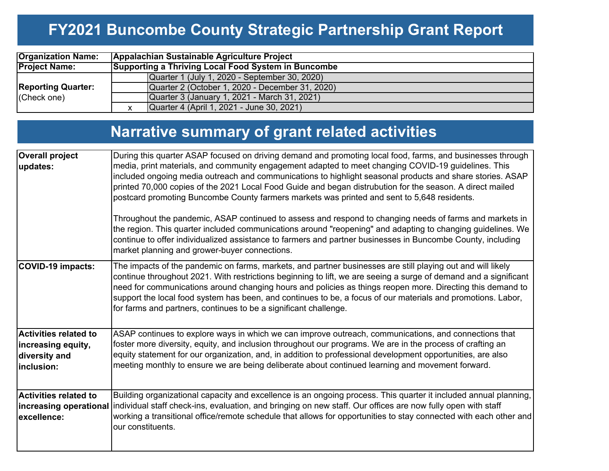### **FY2021 Buncombe County Strategic Partnership Grant Report**

| <b>Organization Name:</b>                | Appalachian Sustainable Agriculture Project |                                                     |  |  |  |  |  |  |  |  |
|------------------------------------------|---------------------------------------------|-----------------------------------------------------|--|--|--|--|--|--|--|--|
| <b>Project Name:</b>                     |                                             | Supporting a Thriving Local Food System in Buncombe |  |  |  |  |  |  |  |  |
|                                          |                                             | Quarter 1 (July 1, 2020 - September 30, 2020)       |  |  |  |  |  |  |  |  |
| <b>Reporting Quarter:</b><br>(Check one) |                                             | Quarter 2 (October 1, 2020 - December 31, 2020)     |  |  |  |  |  |  |  |  |
|                                          |                                             | Quarter 3 (January 1, 2021 - March 31, 2021)        |  |  |  |  |  |  |  |  |
|                                          |                                             | Quarter 4 (April 1, 2021 - June 30, 2021)           |  |  |  |  |  |  |  |  |

## **Narrative summary of grant related activities**

| <b>Overall project</b><br>updates:                                                | During this quarter ASAP focused on driving demand and promoting local food, farms, and businesses through<br>media, print materials, and community engagement adapted to meet changing COVID-19 guidelines. This<br>included ongoing media outreach and communications to highlight seasonal products and share stories. ASAP<br>printed 70,000 copies of the 2021 Local Food Guide and began distrubution for the season. A direct mailed<br>postcard promoting Buncombe County farmers markets was printed and sent to 5,648 residents. |
|-----------------------------------------------------------------------------------|--------------------------------------------------------------------------------------------------------------------------------------------------------------------------------------------------------------------------------------------------------------------------------------------------------------------------------------------------------------------------------------------------------------------------------------------------------------------------------------------------------------------------------------------|
|                                                                                   | Throughout the pandemic, ASAP continued to assess and respond to changing needs of farms and markets in<br>the region. This quarter included communications around "reopening" and adapting to changing guidelines. We<br>continue to offer individualized assistance to farmers and partner businesses in Buncombe County, including<br>market planning and grower-buyer connections.                                                                                                                                                     |
| <b>COVID-19 impacts:</b>                                                          | The impacts of the pandemic on farms, markets, and partner businesses are still playing out and will likely<br>continue throughout 2021. With restrictions beginning to lift, we are seeing a surge of demand and a significant<br>need for communications around changing hours and policies as things reopen more. Directing this demand to<br>support the local food system has been, and continues to be, a focus of our materials and promotions. Labor,<br>for farms and partners, continues to be a significant challenge.          |
| <b>Activities related to</b><br>increasing equity,<br>diversity and<br>inclusion: | ASAP continues to explore ways in which we can improve outreach, communications, and connections that<br>foster more diversity, equity, and inclusion throughout our programs. We are in the process of crafting an<br>equity statement for our organization, and, in addition to professional development opportunities, are also<br>meeting monthly to ensure we are being deliberate about continued learning and movement forward.                                                                                                     |
| <b>Activities related to</b><br>excellence:                                       | Building organizational capacity and excellence is an ongoing process. This quarter it included annual planning,<br>increasing operational individual staff check-ins, evaluation, and bringing on new staff. Our offices are now fully open with staff<br>working a transitional office/remote schedule that allows for opportunities to stay connected with each other and<br>our constituents.                                                                                                                                          |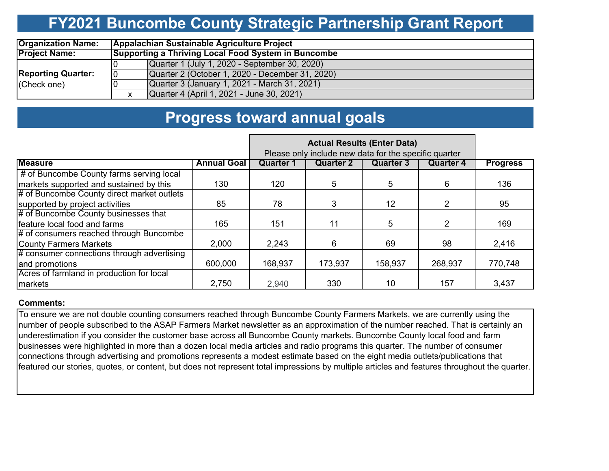### **FY2021 Buncombe County Strategic Partnership Grant Report**

| <b>Organization Name:</b> | Appalachian Sustainable Agriculture Project |                                                     |  |  |  |  |  |  |  |  |
|---------------------------|---------------------------------------------|-----------------------------------------------------|--|--|--|--|--|--|--|--|
| <b>Project Name:</b>      |                                             | Supporting a Thriving Local Food System in Buncombe |  |  |  |  |  |  |  |  |
|                           |                                             | Quarter 1 (July 1, 2020 - September 30, 2020)       |  |  |  |  |  |  |  |  |
| <b>Reporting Quarter:</b> |                                             | Quarter 2 (October 1, 2020 - December 31, 2020)     |  |  |  |  |  |  |  |  |
| (Check one)               |                                             | Quarter 3 (January 1, 2021 - March 31, 2021)        |  |  |  |  |  |  |  |  |
|                           |                                             | Quarter 4 (April 1, 2021 - June 30, 2021)           |  |  |  |  |  |  |  |  |

### **Progress toward annual goals**

|                                            |                    | Please only include new data for the specific quarter |                  |           |                  |                 |
|--------------------------------------------|--------------------|-------------------------------------------------------|------------------|-----------|------------------|-----------------|
| <b>Measure</b>                             | <b>Annual Goal</b> | <b>Quarter 1</b>                                      | <b>Quarter 2</b> | Quarter 3 | <b>Quarter 4</b> | <b>Progress</b> |
| # of Buncombe County farms serving local   |                    |                                                       |                  |           |                  |                 |
| markets supported and sustained by this    | 130                | 120                                                   | 5                | 5         | 6                | 136             |
| # of Buncombe County direct market outlets |                    |                                                       |                  |           |                  |                 |
| supported by project activities            | 85                 | 78                                                    | 3                | 12        | 2                | 95              |
| # of Buncombe County businesses that       |                    |                                                       |                  |           |                  |                 |
| feature local food and farms               | 165                | 151                                                   | 11               | 5         | $\mathcal{P}$    | 169             |
| # of consumers reached through Buncombe    |                    |                                                       |                  |           |                  |                 |
| <b>County Farmers Markets</b>              | 2,000              | 2,243                                                 | 6.               | 69        | 98               | 2,416           |
| # consumer connections through advertising |                    |                                                       |                  |           |                  |                 |
| and promotions                             | 600,000            | 168,937                                               | 173,937          | 158,937   | 268,937          | 770,748         |
| Acres of farmland in production for local  |                    |                                                       |                  |           |                  |                 |
| markets                                    | 2,750              | 2,940                                                 | 330              | 10        | 157              | 3,437           |

#### **Comments:**

To ensure we are not double counting consumers reached through Buncombe County Farmers Markets, we are currently using the number of people subscribed to the ASAP Farmers Market newsletter as an approximation of the number reached. That is certainly an underestimation if you consider the customer base across all Buncombe County markets. Buncombe County local food and farm businesses were highlighted in more than a dozen local media articles and radio programs this quarter. The number of consumer connections through advertising and promotions represents a modest estimate based on the eight media outlets/publications that featured our stories, quotes, or content, but does not represent total impressions by multiple articles and features throughout the quarter.